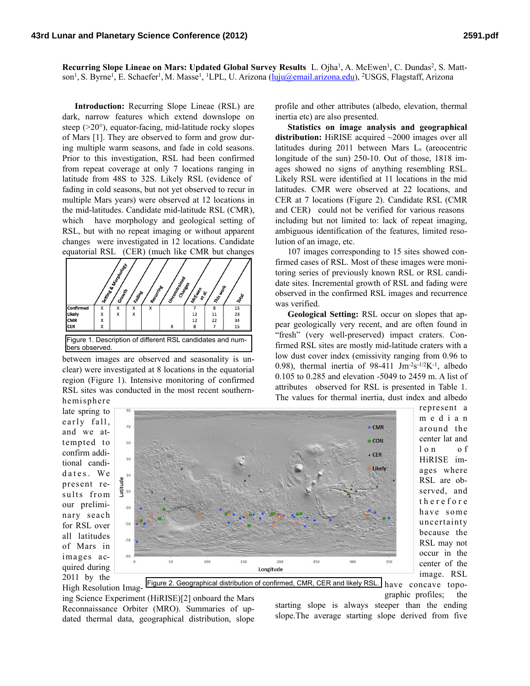Recurring Slope Lineae on Mars: Updated Global Survey Results L. Ojha<sup>1</sup>, A. McEwen<sup>1</sup>, C. Dundas<sup>2</sup>, S. Mattson<sup>1</sup>, S. Byrne<sup>1</sup>, E. Schaefer<sup>1</sup>, M. Masse<sup>1</sup>, <sup>1</sup>LPL, U. Arizona ([luju@email.arizona.edu\)](mailto:luju@email.arizona.edu), <sup>2</sup>USGS, Flagstaff, Arizona

**Introduction:** Recurring Slope Lineae (RSL) are dark, narrow features which extend downslope on steep (>20°), equator-facing, mid-latitude rocky slopes of Mars [1]. They are observed to form and grow during multiple warm seasons, and fade in cold seasons. Prior to this investigation, RSL had been confirmed from repeat coverage at only 7 locations ranging in latitude from 48S to 32S. Likely RSL (evidence of fading in cold seasons, but not yet observed to recur in multiple Mars years) were observed at 12 locations in the mid-latitudes. Candidate mid-latitude RSL (CMR), which have morphology and geological setting of RSL, but with no repeat imaging or without apparent changes were investigated in 12 locations. Candidate equatorial RSL (CER) (much like CMR but changes



between images are observed and seasonality is unclear) were investigated at 8 locations in the equatorial region (Figure 1). Intensive monitoring of confirmed RSL sites was conducted in the most recent southern-

 $70$ 

50

30

 $10$ ude  $\frac{1}{6}$  -10

> $-50$  $-70$  $-90$

profile and other attributes (albedo, elevation, thermal inertia etc) are also presented.

**Statistics on image analysis and geographical distribution:** HiRISE acquired ~2000 images over all latitudes during 2011 between Mars Ls (areocentric longitude of the sun) 250-10. Out of those, 1818 images showed no signs of anything resembling RSL. Likely RSL were identified at 11 locations in the mid latitudes. CMR were observed at 22 locations, and CER at 7 locations (Figure 2). Candidate RSL (CMR and CER) could not be verified for various reasons including but not limited to: lack of repeat imaging, ambiguous identification of the features, limited resolution of an image, etc.

107 images corresponding to 15 sites showed confirmed cases of RSL. Most of these images were monitoring series of previously known RSL or RSL candidate sites. Incremental growth of RSL and fading were observed in the confirmed RSL images and recurrence was verified.

**Geological Setting:** RSL occur on slopes that appear geologically very recent, and are often found in "fresh" (very well-preserved) impact craters. Confirmed RSL sites are mostly mid-latitude craters with a low dust cover index (emissivity ranging from 0.96 to 0.98), thermal inertia of 98-411  $\text{J} \text{m}^{-2} \text{s}^{-1/2} \text{K}^{-1}$ , albedo 0.105 to 0.285 and elevation -5049 to 2459 m. A list of attributes observed for RSL is presented in Table 1. The values for thermal inertia, dust index and albedo

hemisphere late spring to e arly fall, and we attempted to confirm additional candidates. We present results from our preliminary seach for RSL over all latitudes of Mars in images acquired during 2011 by the

High Resolution Imag-



l o n o f HiRISE images where RSL are observed, and t h e r e f o r e have some uncertainty because the RSL may not occur in the center of the image. RSL Figure 2. Geographical distribution of confirmed, CMR, CER and likely RSL. have concave topo-

represent a m e d i a n around the center lat and

ing Science Experiment (HiRISE)[2] onboard the Mars Reconnaissance Orbiter (MRO). Summaries of updated thermal data, geographical distribution, slope

graphic profiles; the starting slope is always steeper than the ending slope.The average starting slope derived from five